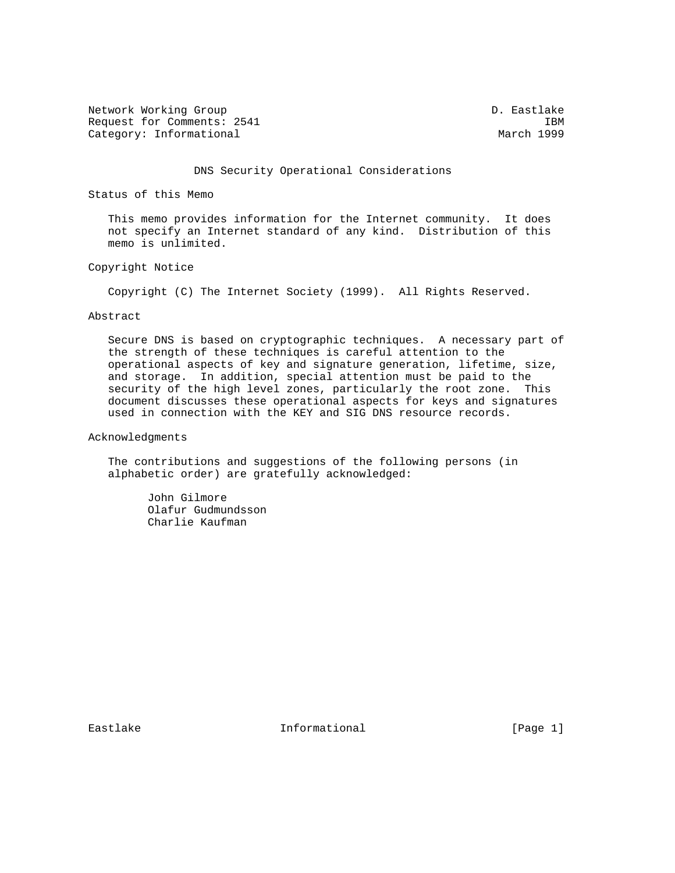| Network Working Group      |  | D. Eastlake |
|----------------------------|--|-------------|
| Request for Comments: 2541 |  | IBM         |
| Category: Informational    |  | March 1999  |

### DNS Security Operational Considerations

Status of this Memo

 This memo provides information for the Internet community. It does not specify an Internet standard of any kind. Distribution of this memo is unlimited.

Copyright Notice

Copyright (C) The Internet Society (1999). All Rights Reserved.

#### Abstract

 Secure DNS is based on cryptographic techniques. A necessary part of the strength of these techniques is careful attention to the operational aspects of key and signature generation, lifetime, size, and storage. In addition, special attention must be paid to the security of the high level zones, particularly the root zone. This document discusses these operational aspects for keys and signatures used in connection with the KEY and SIG DNS resource records.

Acknowledgments

 The contributions and suggestions of the following persons (in alphabetic order) are gratefully acknowledged:

 John Gilmore Olafur Gudmundsson Charlie Kaufman

Eastlake Informational Informational [Page 1]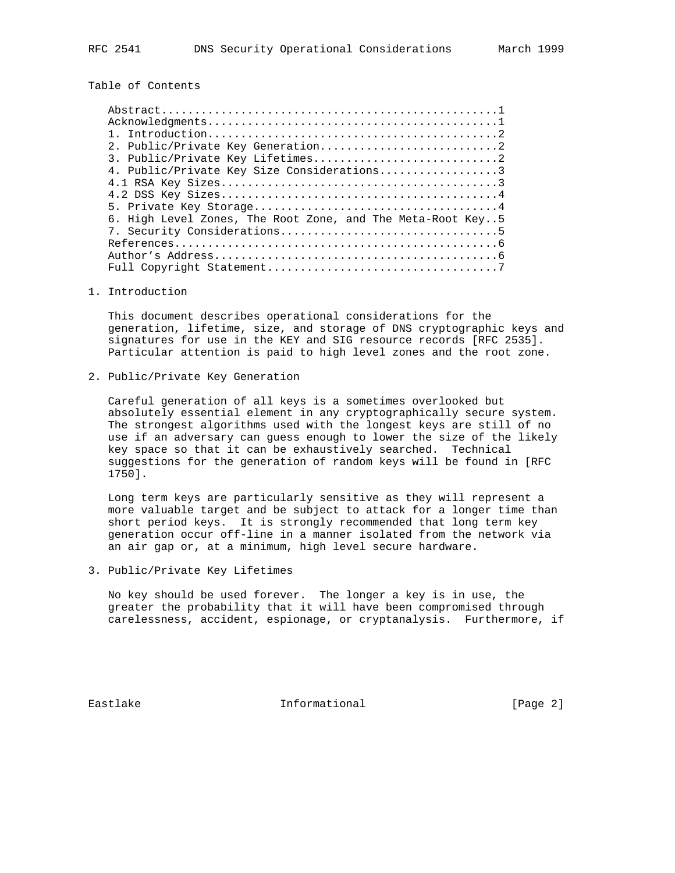# Table of Contents

| 2. Public/Private Key Generation2                          |
|------------------------------------------------------------|
|                                                            |
| 4. Public/Private Key Size Considerations3                 |
|                                                            |
|                                                            |
|                                                            |
| 6. High Level Zones, The Root Zone, and The Meta-Root Key5 |
|                                                            |
|                                                            |
|                                                            |
|                                                            |

## 1. Introduction

 This document describes operational considerations for the generation, lifetime, size, and storage of DNS cryptographic keys and signatures for use in the KEY and SIG resource records [RFC 2535]. Particular attention is paid to high level zones and the root zone.

2. Public/Private Key Generation

 Careful generation of all keys is a sometimes overlooked but absolutely essential element in any cryptographically secure system. The strongest algorithms used with the longest keys are still of no use if an adversary can guess enough to lower the size of the likely key space so that it can be exhaustively searched. Technical suggestions for the generation of random keys will be found in [RFC 1750].

 Long term keys are particularly sensitive as they will represent a more valuable target and be subject to attack for a longer time than short period keys. It is strongly recommended that long term key generation occur off-line in a manner isolated from the network via an air gap or, at a minimum, high level secure hardware.

3. Public/Private Key Lifetimes

 No key should be used forever. The longer a key is in use, the greater the probability that it will have been compromised through carelessness, accident, espionage, or cryptanalysis. Furthermore, if

Eastlake Informational [Page 2]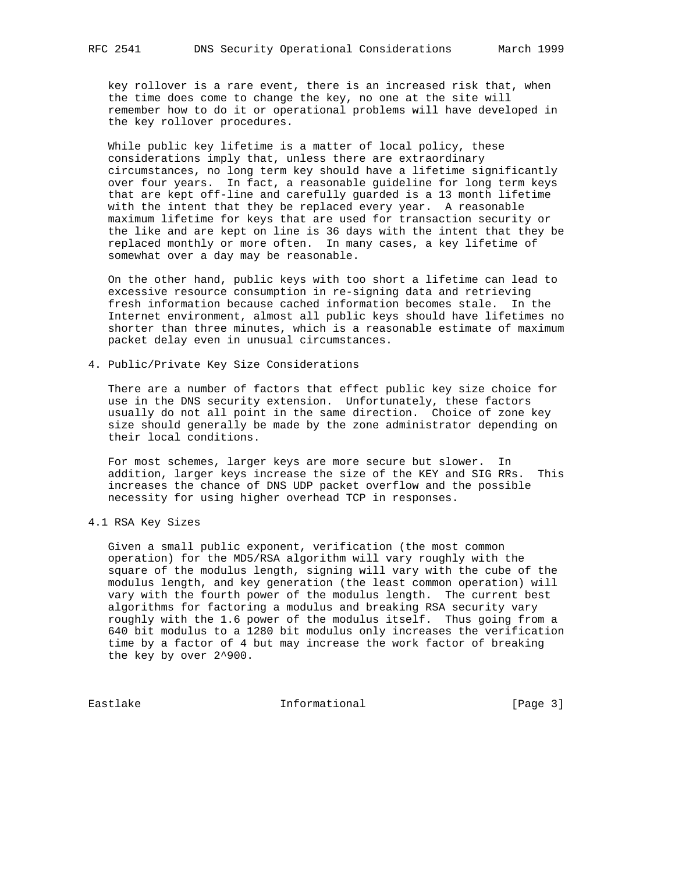key rollover is a rare event, there is an increased risk that, when the time does come to change the key, no one at the site will remember how to do it or operational problems will have developed in the key rollover procedures.

 While public key lifetime is a matter of local policy, these considerations imply that, unless there are extraordinary circumstances, no long term key should have a lifetime significantly over four years. In fact, a reasonable guideline for long term keys that are kept off-line and carefully guarded is a 13 month lifetime with the intent that they be replaced every year. A reasonable maximum lifetime for keys that are used for transaction security or the like and are kept on line is 36 days with the intent that they be replaced monthly or more often. In many cases, a key lifetime of somewhat over a day may be reasonable.

 On the other hand, public keys with too short a lifetime can lead to excessive resource consumption in re-signing data and retrieving fresh information because cached information becomes stale. In the Internet environment, almost all public keys should have lifetimes no shorter than three minutes, which is a reasonable estimate of maximum packet delay even in unusual circumstances.

4. Public/Private Key Size Considerations

 There are a number of factors that effect public key size choice for use in the DNS security extension. Unfortunately, these factors usually do not all point in the same direction. Choice of zone key size should generally be made by the zone administrator depending on their local conditions.

 For most schemes, larger keys are more secure but slower. In addition, larger keys increase the size of the KEY and SIG RRs. This increases the chance of DNS UDP packet overflow and the possible necessity for using higher overhead TCP in responses.

4.1 RSA Key Sizes

 Given a small public exponent, verification (the most common operation) for the MD5/RSA algorithm will vary roughly with the square of the modulus length, signing will vary with the cube of the modulus length, and key generation (the least common operation) will vary with the fourth power of the modulus length. The current best algorithms for factoring a modulus and breaking RSA security vary roughly with the 1.6 power of the modulus itself. Thus going from a 640 bit modulus to a 1280 bit modulus only increases the verification time by a factor of 4 but may increase the work factor of breaking the key by over 2^900.

Eastlake Informational [Page 3]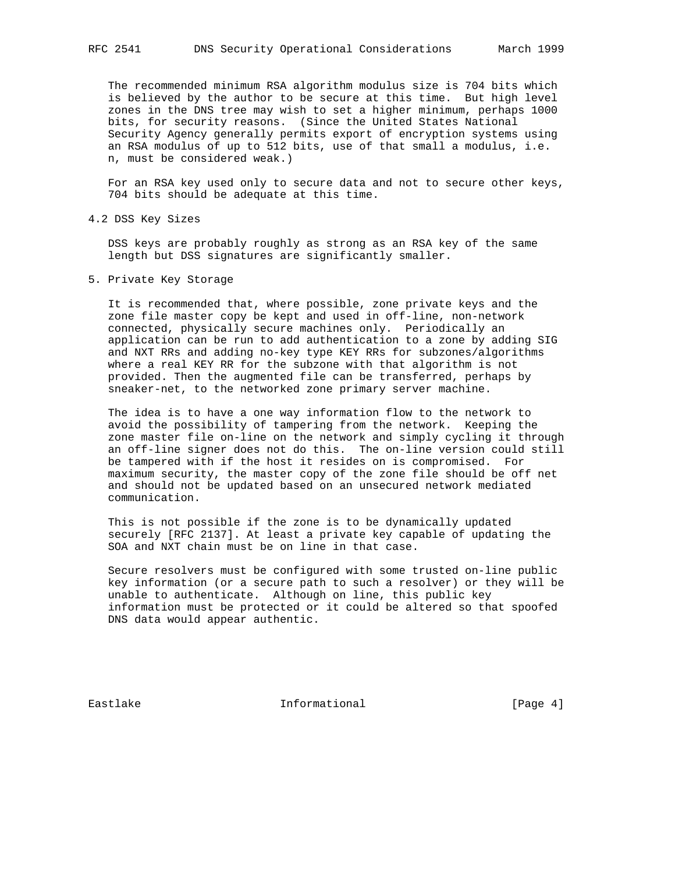The recommended minimum RSA algorithm modulus size is 704 bits which is believed by the author to be secure at this time. But high level zones in the DNS tree may wish to set a higher minimum, perhaps 1000 bits, for security reasons. (Since the United States National Security Agency generally permits export of encryption systems using an RSA modulus of up to 512 bits, use of that small a modulus, i.e. n, must be considered weak.)

 For an RSA key used only to secure data and not to secure other keys, 704 bits should be adequate at this time.

4.2 DSS Key Sizes

 DSS keys are probably roughly as strong as an RSA key of the same length but DSS signatures are significantly smaller.

5. Private Key Storage

 It is recommended that, where possible, zone private keys and the zone file master copy be kept and used in off-line, non-network connected, physically secure machines only. Periodically an application can be run to add authentication to a zone by adding SIG and NXT RRs and adding no-key type KEY RRs for subzones/algorithms where a real KEY RR for the subzone with that algorithm is not provided. Then the augmented file can be transferred, perhaps by sneaker-net, to the networked zone primary server machine.

 The idea is to have a one way information flow to the network to avoid the possibility of tampering from the network. Keeping the zone master file on-line on the network and simply cycling it through an off-line signer does not do this. The on-line version could still be tampered with if the host it resides on is compromised. For maximum security, the master copy of the zone file should be off net and should not be updated based on an unsecured network mediated communication.

 This is not possible if the zone is to be dynamically updated securely [RFC 2137]. At least a private key capable of updating the SOA and NXT chain must be on line in that case.

 Secure resolvers must be configured with some trusted on-line public key information (or a secure path to such a resolver) or they will be unable to authenticate. Although on line, this public key information must be protected or it could be altered so that spoofed DNS data would appear authentic.

Eastlake **Informational** Informational [Page 4]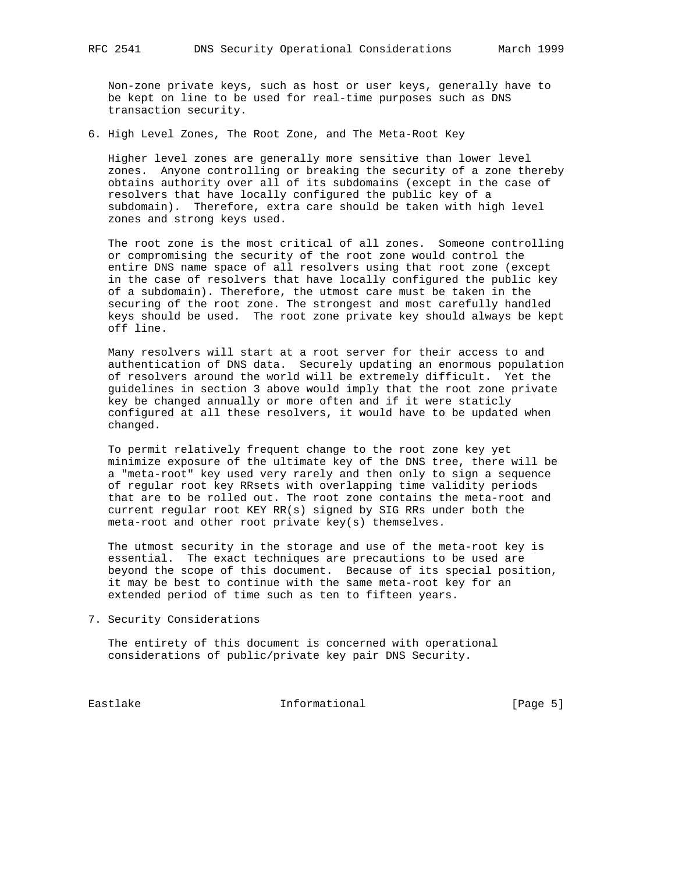Non-zone private keys, such as host or user keys, generally have to be kept on line to be used for real-time purposes such as DNS transaction security.

6. High Level Zones, The Root Zone, and The Meta-Root Key

 Higher level zones are generally more sensitive than lower level zones. Anyone controlling or breaking the security of a zone thereby obtains authority over all of its subdomains (except in the case of resolvers that have locally configured the public key of a subdomain). Therefore, extra care should be taken with high level zones and strong keys used.

 The root zone is the most critical of all zones. Someone controlling or compromising the security of the root zone would control the entire DNS name space of all resolvers using that root zone (except in the case of resolvers that have locally configured the public key of a subdomain). Therefore, the utmost care must be taken in the securing of the root zone. The strongest and most carefully handled keys should be used. The root zone private key should always be kept off line.

 Many resolvers will start at a root server for their access to and authentication of DNS data. Securely updating an enormous population of resolvers around the world will be extremely difficult. Yet the guidelines in section 3 above would imply that the root zone private key be changed annually or more often and if it were staticly configured at all these resolvers, it would have to be updated when changed.

 To permit relatively frequent change to the root zone key yet minimize exposure of the ultimate key of the DNS tree, there will be a "meta-root" key used very rarely and then only to sign a sequence of regular root key RRsets with overlapping time validity periods that are to be rolled out. The root zone contains the meta-root and current regular root KEY RR(s) signed by SIG RRs under both the meta-root and other root private key(s) themselves.

 The utmost security in the storage and use of the meta-root key is essential. The exact techniques are precautions to be used are beyond the scope of this document. Because of its special position, it may be best to continue with the same meta-root key for an extended period of time such as ten to fifteen years.

7. Security Considerations

 The entirety of this document is concerned with operational considerations of public/private key pair DNS Security.

Eastlake Informational [Page 5]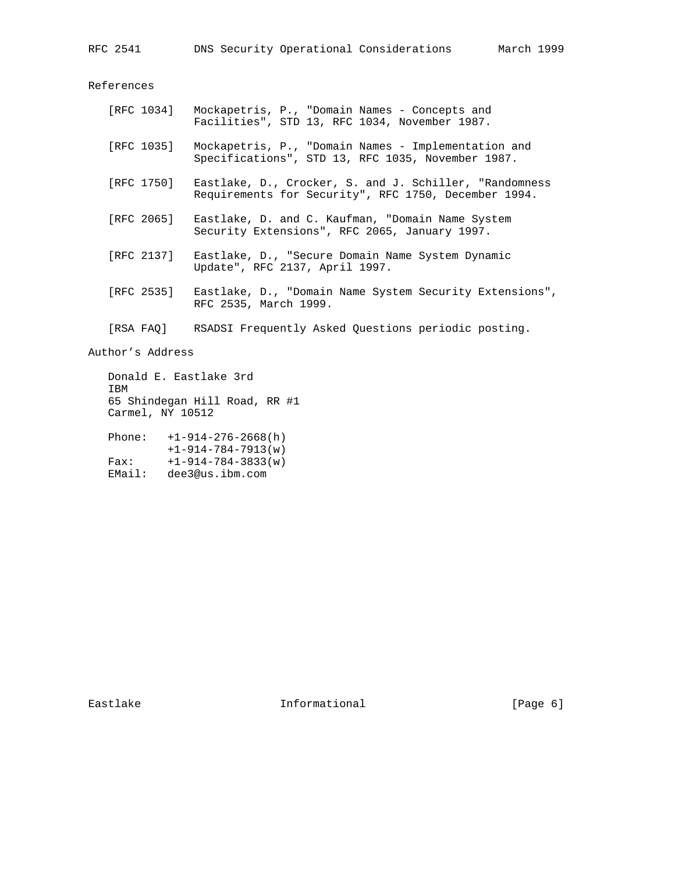|  | RFC 2541 |  |  |  | DNS Security Operational Considerations |
|--|----------|--|--|--|-----------------------------------------|
|--|----------|--|--|--|-----------------------------------------|

References

|                  | [RFC 1034] Mockapetris, P., "Domain Names - Concepts and<br>Facilities", STD 13, RFC 1034, November 1987.      |  |  |  |  |  |
|------------------|----------------------------------------------------------------------------------------------------------------|--|--|--|--|--|
| [RFC 1035]       | Mockapetris, P., "Domain Names - Implementation and<br>Specifications", STD 13, RFC 1035, November 1987.       |  |  |  |  |  |
| [RFC 1750]       | Eastlake, D., Crocker, S. and J. Schiller, "Randomness<br>Requirements for Security", RFC 1750, December 1994. |  |  |  |  |  |
| [RFC 2065]       | Eastlake, D. and C. Kaufman, "Domain Name System<br>Security Extensions", RFC 2065, January 1997.              |  |  |  |  |  |
| [RFC 2137]       | Eastlake, D., "Secure Domain Name System Dynamic<br>Update", RFC 2137, April 1997.                             |  |  |  |  |  |
|                  | [RFC 2535] Eastlake, D., "Domain Name System Security Extensions",<br>RFC 2535, March 1999.                    |  |  |  |  |  |
|                  | [RSA FAQ] RSADSI Frequently Asked Questions periodic posting.                                                  |  |  |  |  |  |
| Author's Address |                                                                                                                |  |  |  |  |  |
| <b>TRM</b>       | Donald E. Eastlake 3rd<br>65 Shindegan Hill Road, RR #1<br>Carmel, NY 10512                                    |  |  |  |  |  |
|                  | Phone: $+1-914-276-2668(h)$<br>$+1-914-784-7913(w)$                                                            |  |  |  |  |  |

Fax: +1-914-784-3833(w)

EMail: dee3@us.ibm.com

Eastlake Informational [Page 6]